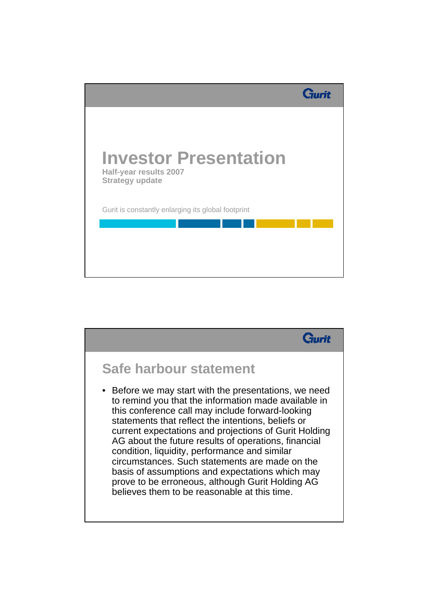

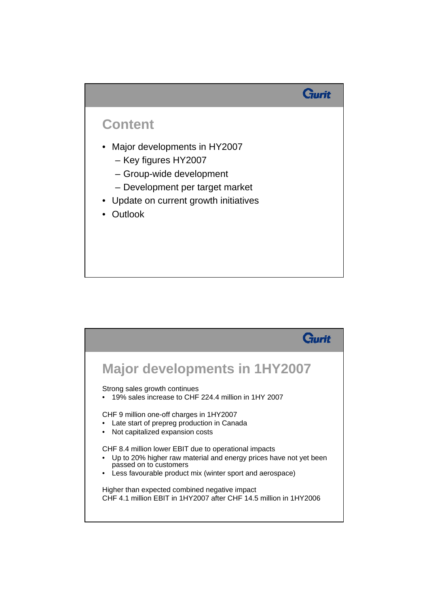

- 
- Update on current growth initiatives
- Outlook

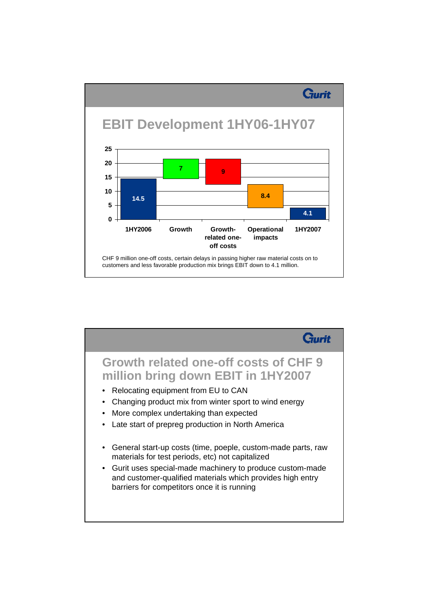

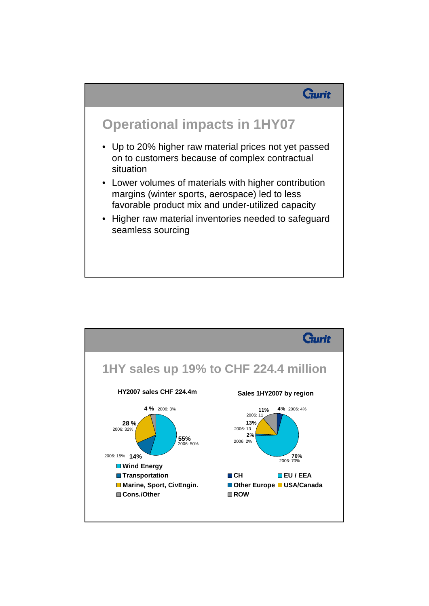

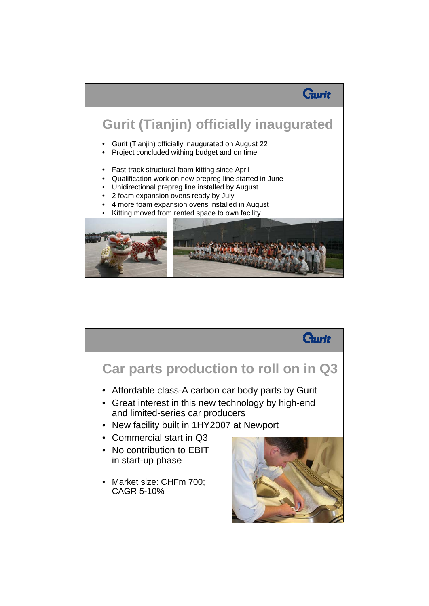

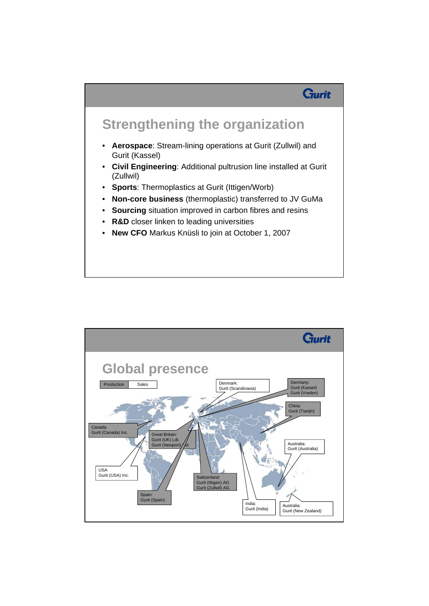

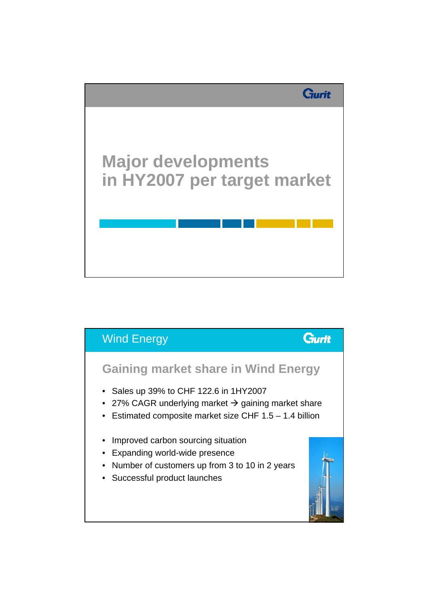

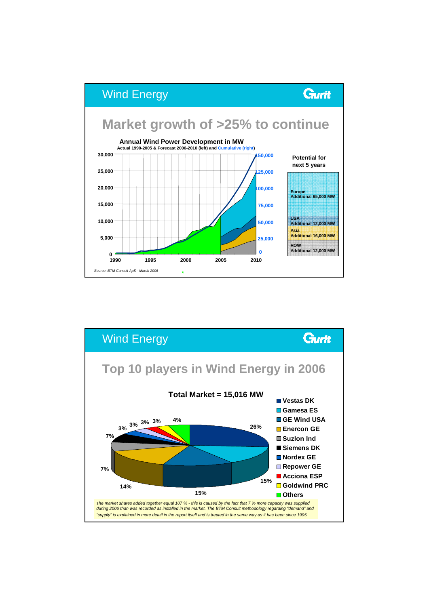

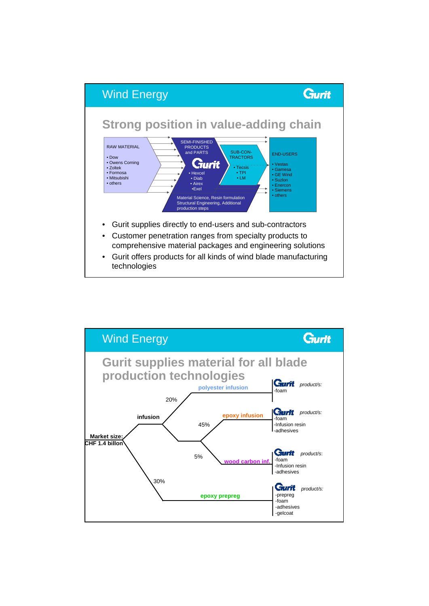

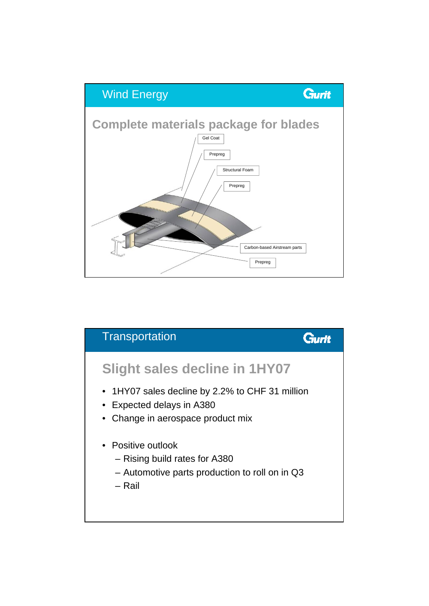

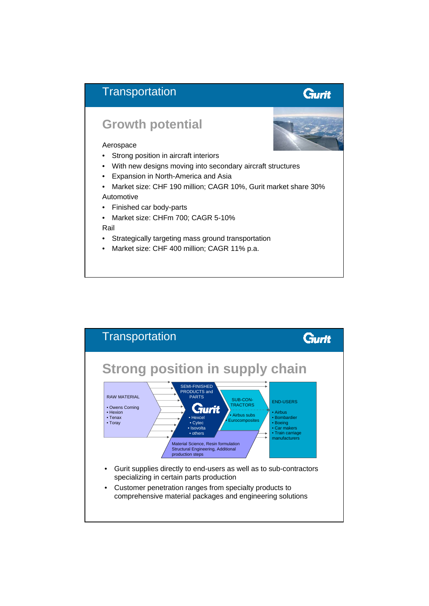#### **Transportation**

#### Gurit

#### **Growth potential**

#### Aerospace

- Strong position in aircraft interiors
- With new designs moving into secondary aircraft structures
- Expansion in North-America and Asia
- Market size: CHF 190 million; CAGR 10%, Gurit market share 30% Automotive
- Finished car body-parts
- Market size: CHFm 700; CAGR 5-10%

#### Rail

- Strategically targeting mass ground transportation
- Market size: CHF 400 million; CAGR 11% p.a.

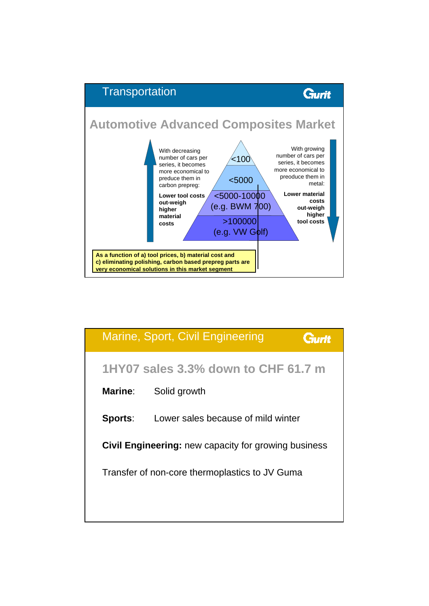

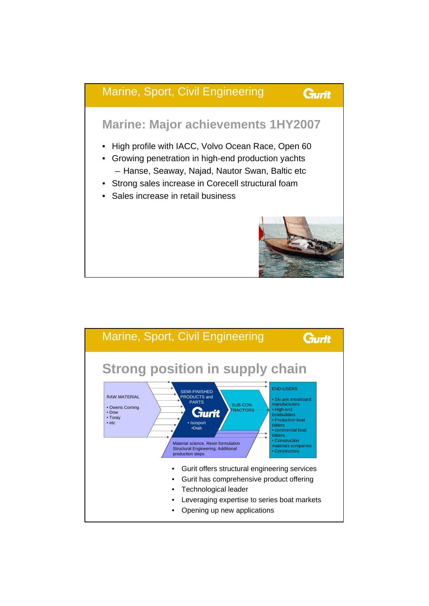

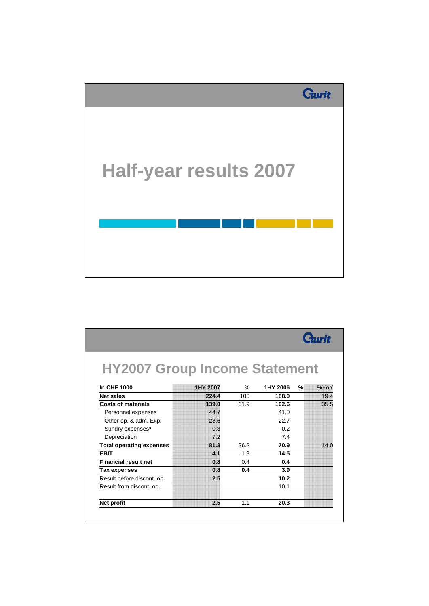

| <b>HY2007 Group Income Statement</b> |          |      |          |           |
|--------------------------------------|----------|------|----------|-----------|
| In CHF 1000                          | 1HY 2007 | $\%$ | 1HY 2006 | %<br>%YoY |
| <b>Net sales</b>                     | 224.4    | 100  | 188.0    | 19.4      |
| <b>Costs of materials</b>            | 139.0    | 61.9 | 102.6    | 35.5      |
| Personnel expenses                   | 44.7     |      | 41.0     |           |
| Other op. & adm. Exp.                | 28.6     |      | 22.7     |           |
| Sundry expenses*                     | 0.8      |      | $-0.2$   |           |
| Depreciation                         | 7.2      |      | 7.4      |           |
| <b>Total operating expenses</b>      | 81.3     | 36.2 | 70.9     | 14.0      |
| <b>EBIT</b>                          | 4.1      | 1.8  | 14.5     |           |
| <b>Financial result net</b>          | 0.8      | 0.4  | 0.4      |           |
| <b>Tax expenses</b>                  | 0.8      | 0.4  | 3.9      |           |
| Result before discont. op.           | 2.5      |      | 10.2     |           |
| Result from discont. op.             |          |      | 10.1     |           |
| Net profit                           | 2.5      | 1.1  | 20.3     |           |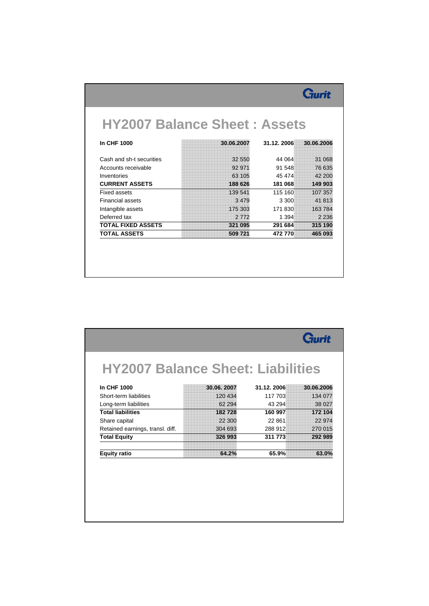## **HY2007 Balance Sheet : Assets**

| <b>In CHF 1000</b>        | 30.06.2007 | 31.12.2006 | 30.06.2006 |
|---------------------------|------------|------------|------------|
| Cash and sh-t securities  | 32 550     | 44 0 64    | 31 068     |
| Accounts receivable       | 92 971     | 91 548     | 76 635     |
| Inventories               | 63 105     | 45 474     | 42 200     |
| <b>CURRENT ASSETS</b>     | 188 626    | 181 068    | 149 903    |
| Fixed assets              | 139 541    | 115 160    | 107 357    |
| Financial assets          | 3479       | 3 3 0 0    | 41813      |
| Intangible assets         | 175 303    | 171 830    | 163784     |
| Deferred tax              | 2 7 7 2    | 1 3 9 4    | 2 2 3 6    |
| <b>TOTAL FIXED ASSETS</b> | 321 095    | 291 684    | 315 190    |
| <b>TOTAL ASSETS</b>       | 509 721    | 472770     | 465 093    |

| <b>HY2007 Balance Sheet: Liabilities</b> |            |            |            |
|------------------------------------------|------------|------------|------------|
|                                          |            |            |            |
| <b>In CHF 1000</b>                       | 30.06.2007 | 31.12.2006 | 30.06.2006 |
| Short-term liabilities                   | 120 434    | 117 703    | 134 077    |
| Long-term liabilities                    | 62 294     | 43 294     | 38 0 27    |
| <b>Total liabilities</b>                 | 182728     | 160 997    | 172 104    |
| Share capital                            | 22 300     | 22 861     | 22 974     |
| Retained earnings, transl. diff.         | 304 693    | 288 912    | 270 015    |
| <b>Total Equity</b>                      | 326 993    | 311 773    | 292 989    |
| <b>Equity ratio</b>                      | 64.2%      | 65.9%      | 63.0%      |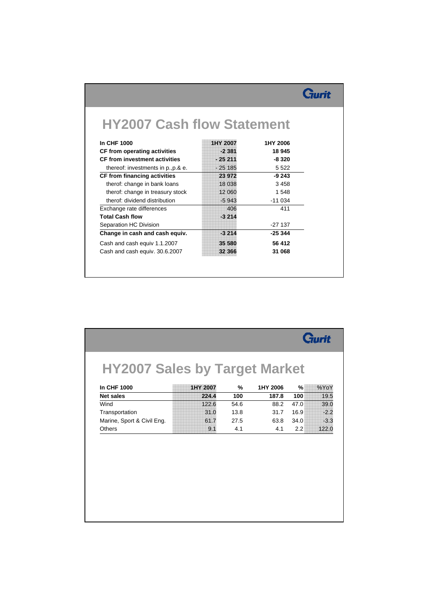Gurit

## **HY2007 Cash flow Statement**

| <b>In CHF 1000</b>                   | 1HY 2007 | 1HY 2006 |
|--------------------------------------|----------|----------|
| <b>CF from operating activities</b>  | $-2381$  | 18 945   |
| <b>CF from investment activities</b> | $-25211$ | -8 320   |
| thereof: investments in p., p.& e.   | $-25185$ | 5 5 2 2  |
| CF from financing activities         | 23 972   | -9 243   |
| therof: change in bank loans         | 18 038   | 3458     |
| therof: change in treasury stock     | 12 060   | 1 548    |
| therof: dividend distribution        | $-5943$  | $-11034$ |
| Exchange rate differences            | 406      | 411      |
| <b>Total Cash flow</b>               | $-3214$  |          |
| Separation HC Division               |          | $-27137$ |
| Change in cash and cash equiv.       | $-3214$  | $-25344$ |
| Cash and cash equiv 1.1.2007         | 35 580   | 56 412   |
| Cash and cash equiv. 30.6.2007       | 32 366   | 31 068   |

# **HY2007 Sales by Target Market**

| <b>In CHF 1000</b>         | 1HY 2007 | %    | 1HY 2006 | %                | %YoY   |
|----------------------------|----------|------|----------|------------------|--------|
| <b>Net sales</b>           | 224.4    | 100  | 187.8    | 100              | 19.5   |
| Wind                       | 122.6    | 54.6 | 88.2     | 47.0             | 39.0   |
| Transportation             | 31.0     | 13.8 | 31.7     | 16.9             | $-2.2$ |
| Marine, Sport & Civil Eng. | 61.7     | 27.5 | 63.8     | 34.0             | $-3.3$ |
| <b>Others</b>              | 9.1      | 4.1  | 4.1      | 2.2 <sub>1</sub> | 122.0  |